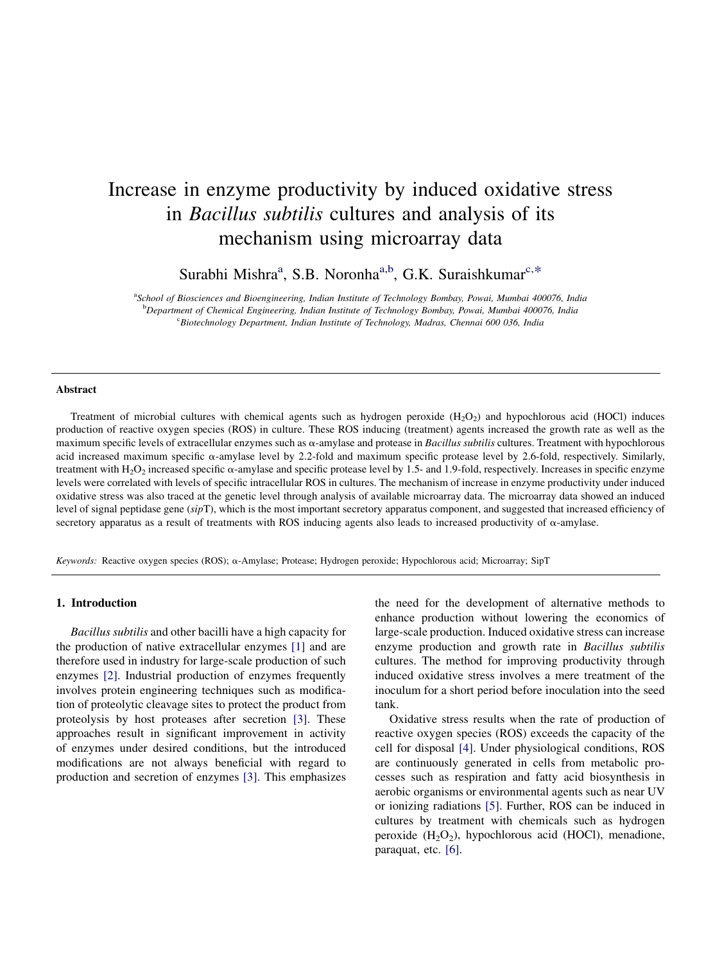# Increase in enzyme productivity by induced oxidative stress in Bacillus subtilis cultures and analysis of its mechanism using microarray data

Surabhi Mishra<sup>a</sup>, S.B. Noronha<sup>a,b</sup>, G.K. Suraishkumar<sup>c,\*</sup>

<sup>a</sup>School of Biosciences and Bioengineering, Indian Institute of Technology Bombay, Powai, Mumbai 400076, India b Department of Chemical Engineering, Indian Institute of Technology Bombay, Powai, Mumbai 400076, India c Biotechnology Department, Indian Institute of Technology, Madras, Chennai 600 036, India

#### Abstract

Treatment of microbial cultures with chemical agents such as hydrogen peroxide  $(H_2O_2)$  and hypochlorous acid (HOCl) induces production of reactive oxygen species (ROS) in culture. These ROS inducing (treatment) agents increased the growth rate as well as the maximum specific levels of extracellular enzymes such as  $\alpha$ -amylase and protease in Bacillus subtilis cultures. Treatment with hypochlorous acid increased maximum specific  $\alpha$ -amylase level by 2.2-fold and maximum specific protease level by 2.6-fold, respectively. Similarly, treatment with  $H_2O_2$  increased specific  $\alpha$ -amylase and specific protease level by 1.5- and 1.9-fold, respectively. Increases in specific enzyme levels were correlated with levels of specific intracellular ROS in cultures. The mechanism of increase in enzyme productivity under induced oxidative stress was also traced at the genetic level through analysis of available microarray data. The microarray data showed an induced level of signal peptidase gene (sipT), which is the most important secretory apparatus component, and suggested that increased efficiency of secretory apparatus as a result of treatments with ROS inducing agents also leads to increased productivity of  $\alpha$ -amylase.

Keywords: Reactive oxygen species (ROS); a-Amylase; Protease; Hydrogen peroxide; Hypochlorous acid; Microarray; SipT

#### 1. Introduction

Bacillus subtilis and other bacilli have a high capacity for the production of native extracellular enzymes [\[1](#page-6-0)] and are therefore used in industry for large-scale production of such enzymes [\[2](#page-6-0)]. Industrial production of enzymes frequently involves protein engineering techniques such as modification of proteolytic cleavage sites to protect the product from proteolysis by host proteases after secretion [\[3](#page-6-0)]. These approaches result in significant improvement in activity of enzymes under desired conditions, but the introduced modifications are not always beneficial with regard to production and secretion of enzymes [\[3](#page-6-0)]. This emphasizes

the need for the development of alternative methods to enhance production without lowering the economics of large-scale production. Induced oxidative stress can increase enzyme production and growth rate in Bacillus subtilis cultures. The method for improving productivity through induced oxidative stress involves a mere treatment of the inoculum for a short period before inoculation into the seed tank.

Oxidative stress results when the rate of production of reactive oxygen species (ROS) exceeds the capacity of the cell for disposal [\[4](#page-6-0)]. Under physiological conditions, ROS are continuously generated in cells from metabolic processes such as respiration and fatty acid biosynthesis in aerobic organisms or environmental agents such as near UV or ionizing radiations [\[5](#page-6-0)]. Further, ROS can be induced in cultures by treatment with chemicals such as hydrogen peroxide  $(H_2O_2)$ , hypochlorous acid (HOCl), menadione, paraquat, etc. [\[6](#page-6-0)].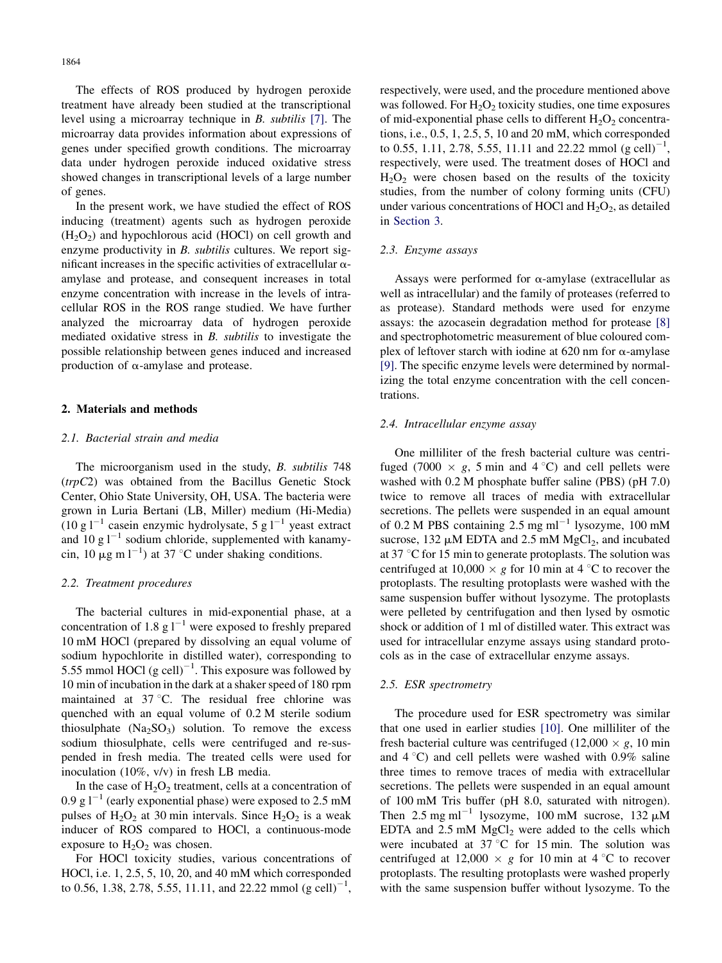<span id="page-1-0"></span>The effects of ROS produced by hydrogen peroxide treatment have already been studied at the transcriptional level using a microarray technique in B. subtilis [\[7\].](#page-6-0) The microarray data provides information about expressions of genes under specified growth conditions. The microarray data under hydrogen peroxide induced oxidative stress showed changes in transcriptional levels of a large number of genes.

In the present work, we have studied the effect of ROS inducing (treatment) agents such as hydrogen peroxide  $(H<sub>2</sub>O<sub>2</sub>)$  and hypochlorous acid (HOCl) on cell growth and enzyme productivity in *B. subtilis* cultures. We report significant increases in the specific activities of extracellular  $\alpha$ amylase and protease, and consequent increases in total enzyme concentration with increase in the levels of intracellular ROS in the ROS range studied. We have further analyzed the microarray data of hydrogen peroxide mediated oxidative stress in B. subtilis to investigate the possible relationship between genes induced and increased production of  $\alpha$ -amylase and protease.

## 2. Materials and methods

## 2.1. Bacterial strain and media

The microorganism used in the study, B. subtilis 748 (trpC2) was obtained from the Bacillus Genetic Stock Center, Ohio State University, OH, USA. The bacteria were grown in Luria Bertani (LB, Miller) medium (Hi-Media)  $(10 \text{ g l}^{-1}$  casein enzymic hydrolysate, 5 g l<sup>-1</sup> yeast extract and 10 g  $1^{-1}$  sodium chloride, supplemented with kanamycin, 10  $\mu$ g m l<sup>-1</sup>) at 37 °C under shaking conditions.

#### 2.2. Treatment procedures

The bacterial cultures in mid-exponential phase, at a concentration of 1.8 g  $1^{-1}$  were exposed to freshly prepared 10 mM HOCl (prepared by dissolving an equal volume of sodium hypochlorite in distilled water), corresponding to 5.55 mmol HOCl  $(g \text{ cell})^{-1}$ . This exposure was followed by 10 min of incubation in the dark at a shaker speed of 180 rpm maintained at  $37^{\circ}$ C. The residual free chlorine was quenched with an equal volume of 0.2 M sterile sodium thiosulphate  $(Na_2SO_3)$  solution. To remove the excess sodium thiosulphate, cells were centrifuged and re-suspended in fresh media. The treated cells were used for inoculation (10%, v/v) in fresh LB media.

In the case of  $H_2O_2$  treatment, cells at a concentration of 0.9 g  $1^{-1}$  (early exponential phase) were exposed to 2.5 mM pulses of  $H_2O_2$  at 30 min intervals. Since  $H_2O_2$  is a weak inducer of ROS compared to HOCl, a continuous-mode exposure to  $H_2O_2$  was chosen.

For HOCl toxicity studies, various concentrations of HOCl, i.e. 1, 2.5, 5, 10, 20, and 40 mM which corresponded to 0.56, 1.38, 2.78, 5.55, 11.11, and 22.22 mmol  $(g \text{ cell})^{-1}$ ,

respectively, were used, and the procedure mentioned above was followed. For  $H_2O_2$  toxicity studies, one time exposures of mid-exponential phase cells to different  $H_2O_2$  concentrations, i.e., 0.5, 1, 2.5, 5, 10 and 20 mM, which corresponded to 0.55, 1.11, 2.78, 5.55, 11.11 and 22.22 mmol  $(g \text{ cell})^{-1}$ , respectively, were used. The treatment doses of HOCl and  $H<sub>2</sub>O<sub>2</sub>$  were chosen based on the results of the toxicity studies, from the number of colony forming units (CFU) under various concentrations of HOCl and  $H_2O_2$ , as detailed in [Section 3](#page-2-0).

#### 2.3. Enzyme assays

Assays were performed for  $\alpha$ -amylase (extracellular as well as intracellular) and the family of proteases (referred to as protease). Standard methods were used for enzyme assays: the azocasein degradation method for protease [\[8\]](#page-6-0) and spectrophotometric measurement of blue coloured complex of leftover starch with iodine at 620 nm for  $\alpha$ -amylase [\[9\]](#page-6-0). The specific enzyme levels were determined by normalizing the total enzyme concentration with the cell concentrations.

## 2.4. Intracellular enzyme assay

One milliliter of the fresh bacterial culture was centrifuged (7000  $\times$  g, 5 min and 4 °C) and cell pellets were washed with 0.2 M phosphate buffer saline (PBS) (pH 7.0) twice to remove all traces of media with extracellular secretions. The pellets were suspended in an equal amount of 0.2 M PBS containing  $2.5 \text{ mg ml}^{-1}$  lysozyme, 100 mM sucrose, 132  $\mu$ M EDTA and 2.5 mM MgCl<sub>2</sub>, and incubated at 37  $\degree$ C for 15 min to generate protoplasts. The solution was centrifuged at  $10,000 \times g$  for 10 min at 4 °C to recover the protoplasts. The resulting protoplasts were washed with the same suspension buffer without lysozyme. The protoplasts were pelleted by centrifugation and then lysed by osmotic shock or addition of 1 ml of distilled water. This extract was used for intracellular enzyme assays using standard protocols as in the case of extracellular enzyme assays.

#### 2.5. ESR spectrometry

The procedure used for ESR spectrometry was similar that one used in earlier studies [\[10\]](#page-6-0). One milliliter of the fresh bacterial culture was centrifuged  $(12,000 \times g, 10 \text{ min})$ and  $4^{\circ}$ C) and cell pellets were washed with 0.9% saline three times to remove traces of media with extracellular secretions. The pellets were suspended in an equal amount of 100 mM Tris buffer (pH 8.0, saturated with nitrogen). Then 2.5 mg ml<sup>-1</sup> lysozyme, 100 mM sucrose, 132  $\mu$ M EDTA and  $2.5$  mM  $MgCl<sub>2</sub>$  were added to the cells which were incubated at  $37^{\circ}$ C for 15 min. The solution was centrifuged at 12,000  $\times$  g for 10 min at 4 °C to recover protoplasts. The resulting protoplasts were washed properly with the same suspension buffer without lysozyme. To the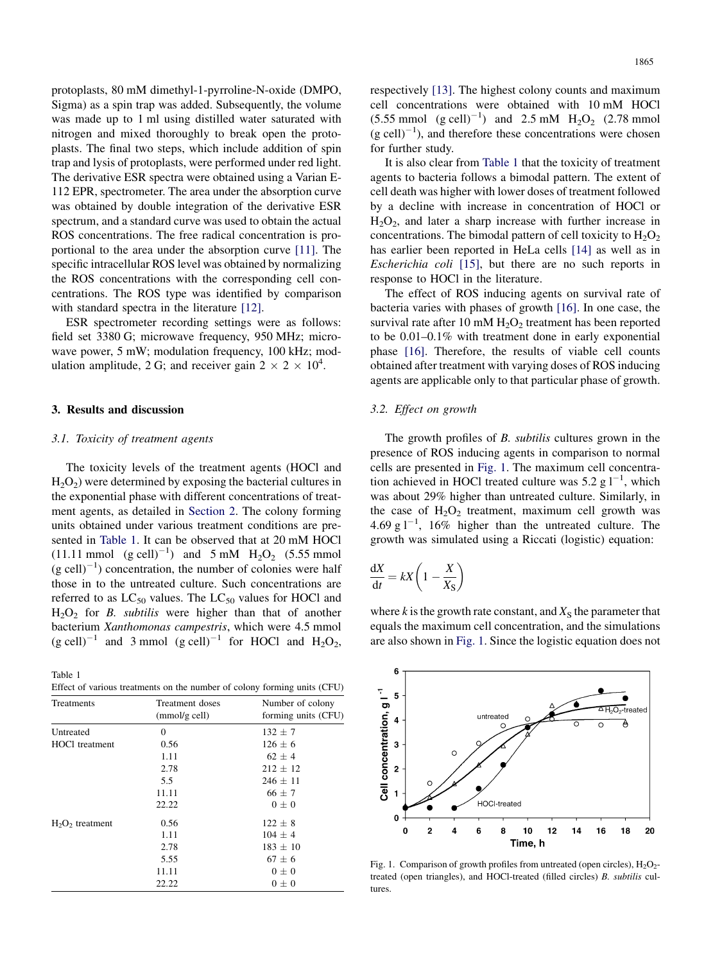<span id="page-2-0"></span>protoplasts, 80 mM dimethyl-1-pyrroline-N-oxide (DMPO, Sigma) as a spin trap was added. Subsequently, the volume was made up to 1 ml using distilled water saturated with nitrogen and mixed thoroughly to break open the protoplasts. The final two steps, which include addition of spin trap and lysis of protoplasts, were performed under red light. The derivative ESR spectra were obtained using a Varian E-112 EPR, spectrometer. The area under the absorption curve was obtained by double integration of the derivative ESR spectrum, and a standard curve was used to obtain the actual ROS concentrations. The free radical concentration is proportional to the area under the absorption curve [\[11\].](#page-6-0) The specific intracellular ROS level was obtained by normalizing the ROS concentrations with the corresponding cell concentrations. The ROS type was identified by comparison with standard spectra in the literature [\[12\]](#page-6-0).

ESR spectrometer recording settings were as follows: field set 3380 G; microwave frequency, 950 MHz; microwave power, 5 mW; modulation frequency, 100 kHz; modulation amplitude, 2 G; and receiver gain  $2 \times 2 \times 10^4$ .

## 3. Results and discussion

#### 3.1. Toxicity of treatment agents

The toxicity levels of the treatment agents (HOCl and  $H_2O_2$ ) were determined by exposing the bacterial cultures in the exponential phase with different concentrations of treatment agents, as detailed in [Section 2](#page-1-0). The colony forming units obtained under various treatment conditions are presented in Table 1. It can be observed that at 20 mM HOCl  $(11.11 \text{ mmol } (g \text{ cell})^{-1})$  and  $5 \text{ mM } H_2O_2$  (5.55 mmol  $(g \text{ cell})^{-1}$ ) concentration, the number of colonies were half those in to the untreated culture. Such concentrations are referred to as  $LC_{50}$  values. The  $LC_{50}$  values for HOCl and  $H_2O_2$  for *B. subtilis* were higher than that of another bacterium Xanthomonas campestris, which were 4.5 mmol  $(g \text{ cell})^{-1}$  and 3 mmol  $(g \text{ cell})^{-1}$  for HOCl and H<sub>2</sub>O<sub>2</sub>,

Table 1 Effect of various treatments on the number of colony forming units (CFU)

| of $\lambda$ and $\lambda$ comments on the humber of colong forming units $(\alpha, \alpha)$ |                                    |                                         |  |  |
|----------------------------------------------------------------------------------------------|------------------------------------|-----------------------------------------|--|--|
| Treatments                                                                                   | Treatment doses<br>$(mmol/g$ cell) | Number of colony<br>forming units (CFU) |  |  |
| Untreated                                                                                    | $\mathbf{0}$                       | $132 \pm 7$                             |  |  |
| <b>HOCl</b> treatment                                                                        | 0.56                               | $126 \pm 6$                             |  |  |
|                                                                                              | 1.11                               | $62 \pm 4$                              |  |  |
|                                                                                              | 2.78                               | $212 \pm 12$                            |  |  |
|                                                                                              | 5.5                                | $246 \pm 11$                            |  |  |
|                                                                                              | 11.11                              | $66 \pm 7$                              |  |  |
|                                                                                              | 22.22                              | $0\pm 0$                                |  |  |
| $H_2O_2$ treatment                                                                           | 0.56                               | $122 \pm 8$                             |  |  |
|                                                                                              | 1.11                               | $104 \pm 4$                             |  |  |
|                                                                                              | 2.78                               | $183 \pm 10$                            |  |  |
|                                                                                              | 5.55                               | $67 \pm 6$                              |  |  |
|                                                                                              | 11.11                              | $0\pm 0$                                |  |  |
|                                                                                              | 22.22                              | $0\pm 0$                                |  |  |
|                                                                                              |                                    |                                         |  |  |

respectively [\[13\]](#page-6-0). The highest colony counts and maximum cell concentrations were obtained with 10 mM HOCl  $(5.55 \text{ mmol } (g \text{ cell})^{-1})$  and  $2.5 \text{ mM } H_2O_2$  (2.78 mmol  $(g \text{ cell})^{-1}$ ), and therefore these concentrations were chosen for further study.

It is also clear from Table 1 that the toxicity of treatment agents to bacteria follows a bimodal pattern. The extent of cell death was higher with lower doses of treatment followed by a decline with increase in concentration of HOCl or  $H_2O_2$ , and later a sharp increase with further increase in concentrations. The bimodal pattern of cell toxicity to  $H_2O_2$ has earlier been reported in HeLa cells [\[14\]](#page-6-0) as well as in Escherichia coli [\[15\],](#page-6-0) but there are no such reports in response to HOCl in the literature.

The effect of ROS inducing agents on survival rate of bacteria varies with phases of growth [\[16\].](#page-6-0) In one case, the survival rate after 10 mM  $H_2O_2$  treatment has been reported to be 0.01–0.1% with treatment done in early exponential phase [\[16\]](#page-6-0). Therefore, the results of viable cell counts obtained after treatment with varying doses of ROS inducing agents are applicable only to that particular phase of growth.

#### 3.2. Effect on growth

The growth profiles of B. subtilis cultures grown in the presence of ROS inducing agents in comparison to normal cells are presented in Fig. 1. The maximum cell concentration achieved in HOCl treated culture was 5.2 g  $1^{-1}$ , which was about 29% higher than untreated culture. Similarly, in the case of  $H_2O_2$  treatment, maximum cell growth was 4.69 g  $1^{-1}$ , 16% higher than the untreated culture. The growth was simulated using a Riccati (logistic) equation:

$$
\frac{\mathrm{d}X}{\mathrm{d}t} = kX \left( 1 - \frac{X}{X_{\mathrm{S}}} \right)
$$

where k is the growth rate constant, and  $X<sub>S</sub>$  the parameter that equals the maximum cell concentration, and the simulations are also shown in Fig. 1. Since the logistic equation does not



Fig. 1. Comparison of growth profiles from untreated (open circles),  $H_2O_2$ treated (open triangles), and HOCl-treated (filled circles) B. subtilis cultures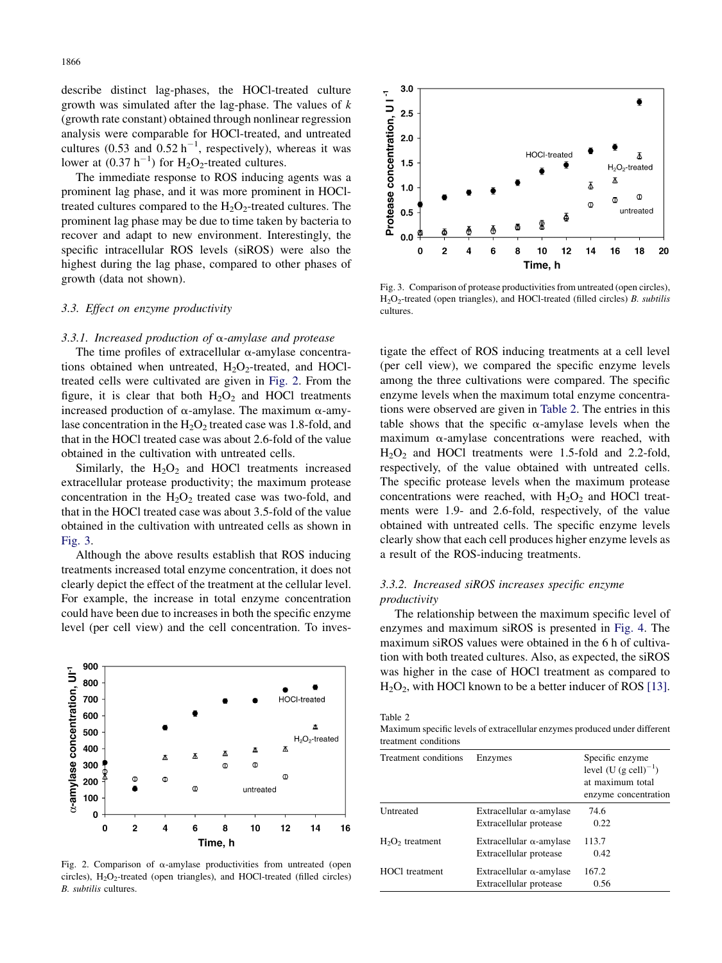describe distinct lag-phases, the HOCl-treated culture growth was simulated after the lag-phase. The values of k (growth rate constant) obtained through nonlinear regression analysis were comparable for HOCl-treated, and untreated cultures (0.53 and  $0.52 h^{-1}$ , respectively), whereas it was lower at  $(0.37 \text{ h}^{-1})$  for H<sub>2</sub>O<sub>2</sub>-treated cultures.

The immediate response to ROS inducing agents was a prominent lag phase, and it was more prominent in HOCltreated cultures compared to the  $H_2O_2$ -treated cultures. The prominent lag phase may be due to time taken by bacteria to recover and adapt to new environment. Interestingly, the specific intracellular ROS levels (siROS) were also the highest during the lag phase, compared to other phases of growth (data not shown).

# 3.3. Effect on enzyme productivity

#### 3.3.1. Increased production of  $\alpha$ -amylase and protease

The time profiles of extracellular  $\alpha$ -amylase concentrations obtained when untreated,  $H_2O_2$ -treated, and HOCltreated cells were cultivated are given in Fig. 2. From the figure, it is clear that both  $H_2O_2$  and HOCl treatments increased production of  $\alpha$ -amylase. The maximum  $\alpha$ -amylase concentration in the  $H_2O_2$  treated case was 1.8-fold, and that in the HOCl treated case was about 2.6-fold of the value obtained in the cultivation with untreated cells.

Similarly, the  $H_2O_2$  and HOCl treatments increased extracellular protease productivity; the maximum protease concentration in the  $H_2O_2$  treated case was two-fold, and that in the HOCl treated case was about 3.5-fold of the value obtained in the cultivation with untreated cells as shown in Fig. 3.

Although the above results establish that ROS inducing treatments increased total enzyme concentration, it does not clearly depict the effect of the treatment at the cellular level. For example, the increase in total enzyme concentration could have been due to increases in both the specific enzyme level (per cell view) and the cell concentration. To inves-



Fig. 2. Comparison of  $\alpha$ -amylase productivities from untreated (open circles),  $H_2O_2$ -treated (open triangles), and HOCl-treated (filled circles) B. subtilis cultures.



Fig. 3. Comparison of protease productivities from untreated (open circles), H2O2-treated (open triangles), and HOCl-treated (filled circles) B. subtilis cultures.

tigate the effect of ROS inducing treatments at a cell level (per cell view), we compared the specific enzyme levels among the three cultivations were compared. The specific enzyme levels when the maximum total enzyme concentrations were observed are given in Table 2. The entries in this table shows that the specific  $\alpha$ -amylase levels when the maximum  $\alpha$ -amylase concentrations were reached, with  $H<sub>2</sub>O<sub>2</sub>$  and HOCl treatments were 1.5-fold and 2.2-fold, respectively, of the value obtained with untreated cells. The specific protease levels when the maximum protease concentrations were reached, with  $H_2O_2$  and HOCl treatments were 1.9- and 2.6-fold, respectively, of the value obtained with untreated cells. The specific enzyme levels clearly show that each cell produces higher enzyme levels as a result of the ROS-inducing treatments.

# 3.3.2. Increased siROS increases specific enzyme productivity

The relationship between the maximum specific level of enzymes and maximum siROS is presented in [Fig. 4](#page-4-0). The maximum siROS values were obtained in the 6 h of cultivation with both treated cultures. Also, as expected, the siROS was higher in the case of HOCl treatment as compared to  $H_2O_2$ , with HOCl known to be a better inducer of ROS [\[13\]](#page-6-0).

Table 2

Maximum specific levels of extracellular enzymes produced under different treatment conditions

| Treatment conditions | Enzymes                                                   | Specific enzyme<br>level $(U (g cell)^{-1})$<br>at maximum total<br>enzyme concentration |
|----------------------|-----------------------------------------------------------|------------------------------------------------------------------------------------------|
| Untreated            | Extracellular $\alpha$ -amylase<br>Extracellular protease | 74.6<br>0.22                                                                             |
| $H_2O_2$ treatment   | Extracellular $\alpha$ -amylase<br>Extracellular protease | 113.7<br>0.42                                                                            |
| HOCl treatment       | Extracellular $\alpha$ -amylase<br>Extracellular protease | 167.2<br>0.56                                                                            |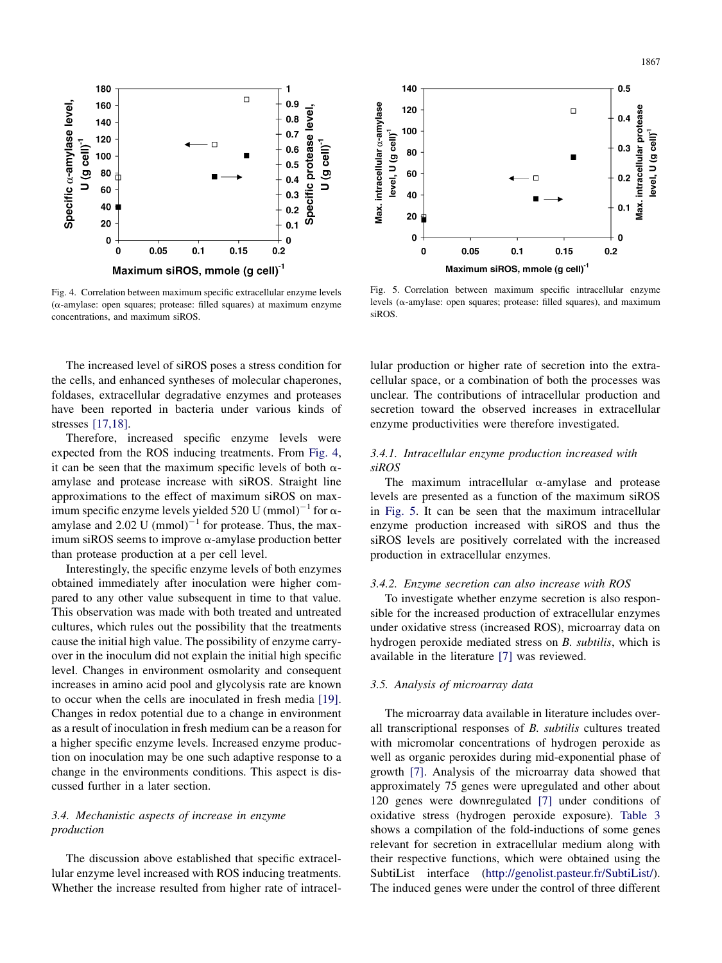<span id="page-4-0"></span>

Fig. 4. Correlation between maximum specific extracellular enzyme levels  $(\alpha$ -amylase: open squares; protease: filled squares) at maximum enzyme concentrations, and maximum siROS.

The increased level of siROS poses a stress condition for the cells, and enhanced syntheses of molecular chaperones, foldases, extracellular degradative enzymes and proteases have been reported in bacteria under various kinds of stresses [\[17,18\]](#page-6-0).

Therefore, increased specific enzyme levels were expected from the ROS inducing treatments. From Fig. 4, it can be seen that the maximum specific levels of both  $\alpha$ amylase and protease increase with siROS. Straight line approximations to the effect of maximum siROS on maximum specific enzyme levels yielded 520 U (mmol)<sup>-1</sup> for  $\alpha$ amylase and  $2.02$  U (mmol)<sup>-1</sup> for protease. Thus, the maximum siROS seems to improve  $\alpha$ -amylase production better than protease production at a per cell level.

Interestingly, the specific enzyme levels of both enzymes obtained immediately after inoculation were higher compared to any other value subsequent in time to that value. This observation was made with both treated and untreated cultures, which rules out the possibility that the treatments cause the initial high value. The possibility of enzyme carryover in the inoculum did not explain the initial high specific level. Changes in environment osmolarity and consequent increases in amino acid pool and glycolysis rate are known to occur when the cells are inoculated in fresh media [\[19\]](#page-6-0). Changes in redox potential due to a change in environment as a result of inoculation in fresh medium can be a reason for a higher specific enzyme levels. Increased enzyme production on inoculation may be one such adaptive response to a change in the environments conditions. This aspect is discussed further in a later section.

# 3.4. Mechanistic aspects of increase in enzyme production

The discussion above established that specific extracellular enzyme level increased with ROS inducing treatments. Whether the increase resulted from higher rate of intracel-



Fig. 5. Correlation between maximum specific intracellular enzyme levels ( $\alpha$ -amylase: open squares; protease: filled squares), and maximum siROS.

lular production or higher rate of secretion into the extracellular space, or a combination of both the processes was unclear. The contributions of intracellular production and secretion toward the observed increases in extracellular enzyme productivities were therefore investigated.

# 3.4.1. Intracellular enzyme production increased with siROS

The maximum intracellular  $\alpha$ -amylase and protease levels are presented as a function of the maximum siROS in Fig. 5. It can be seen that the maximum intracellular enzyme production increased with siROS and thus the siROS levels are positively correlated with the increased production in extracellular enzymes.

#### 3.4.2. Enzyme secretion can also increase with ROS

To investigate whether enzyme secretion is also responsible for the increased production of extracellular enzymes under oxidative stress (increased ROS), microarray data on hydrogen peroxide mediated stress on B. subtilis, which is available in the literature [\[7\]](#page-6-0) was reviewed.

# 3.5. Analysis of microarray data

The microarray data available in literature includes overall transcriptional responses of B. subtilis cultures treated with micromolar concentrations of hydrogen peroxide as well as organic peroxides during mid-exponential phase of growth [\[7\].](#page-6-0) Analysis of the microarray data showed that approximately 75 genes were upregulated and other about 120 genes were downregulated [\[7\]](#page-6-0) under conditions of oxidative stress (hydrogen peroxide exposure). [Table 3](#page-5-0) shows a compilation of the fold-inductions of some genes relevant for secretion in extracellular medium along with their respective functions, which were obtained using the SubtiList interface ([http://genolist.pasteur.fr/SubtiList/\)](http://genolist.pasteur.fr/SubtiList/). The induced genes were under the control of three different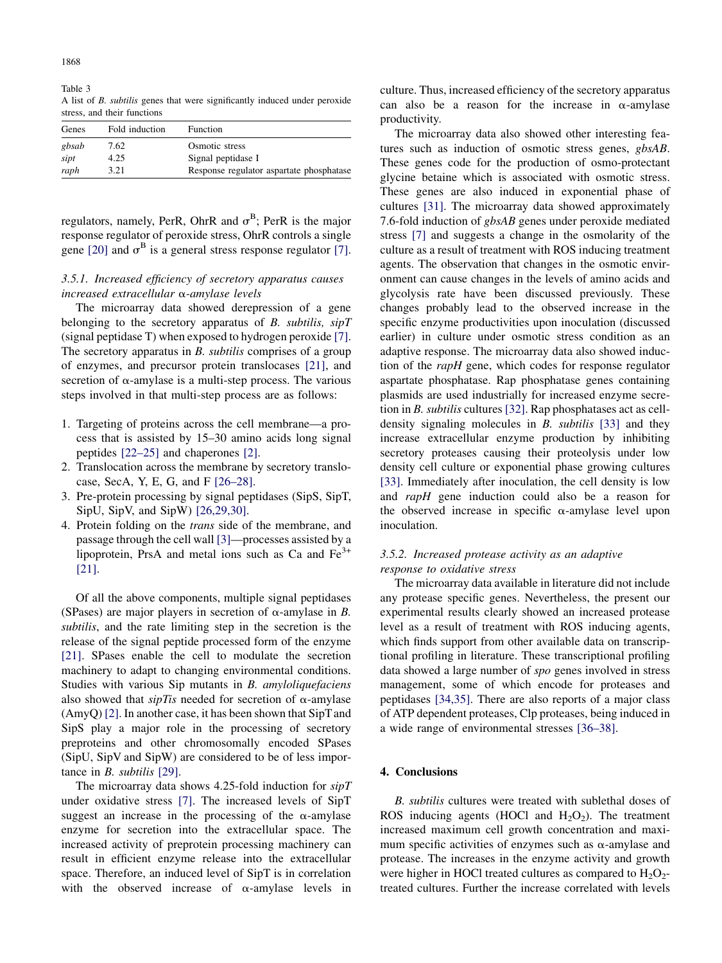<span id="page-5-0"></span>Table 3 A list of B. subtilis genes that were significantly induced under peroxide stress, and their functions

| Genes | Fold induction | Function                                 |
|-------|----------------|------------------------------------------|
| gbsab | 7.62           | Osmotic stress                           |
| sipt  | 4.25           | Signal peptidase I                       |
| raph  | 3.21           | Response regulator aspartate phosphatase |

regulators, namely, PerR, OhrR and  $\sigma^B$ ; PerR is the major response regulator of peroxide stress, OhrR controls a single gene [\[20\]](#page-6-0) and  $\sigma^B$  is a general stress response regulator [\[7\]](#page-6-0).

# 3.5.1. Increased efficiency of secretory apparatus causes increased extracellular a-amylase levels

The microarray data showed derepression of a gene belonging to the secretory apparatus of  $B$ . subtilis,  $\sin T$ (signal peptidase T) when exposed to hydrogen peroxide [\[7\]](#page-6-0). The secretory apparatus in *B. subtilis* comprises of a group of enzymes, and precursor protein translocases [\[21\]](#page-6-0), and secretion of  $\alpha$ -amylase is a multi-step process. The various steps involved in that multi-step process are as follows:

- 1. Targeting of proteins across the cell membrane—a process that is assisted by 15–30 amino acids long signal peptides [\[22–25\]](#page-6-0) and chaperones [\[2\]](#page-6-0).
- 2. Translocation across the membrane by secretory translocase, SecA, Y, E, G, and F [\[26–28\].](#page-6-0)
- 3. Pre-protein processing by signal peptidases (SipS, SipT, SipU, SipV, and SipW) [\[26,29,30\]](#page-6-0).
- 4. Protein folding on the trans side of the membrane, and passage through the cell wall [\[3\]](#page-6-0)—processes assisted by a lipoprotein, PrsA and metal ions such as Ca and  $Fe<sup>3+</sup>$ [\[21\].](#page-6-0)

Of all the above components, multiple signal peptidases (SPases) are major players in secretion of  $\alpha$ -amylase in B. subtilis, and the rate limiting step in the secretion is the release of the signal peptide processed form of the enzyme [\[21\]](#page-6-0). SPases enable the cell to modulate the secretion machinery to adapt to changing environmental conditions. Studies with various Sip mutants in B. amyloliquefaciens also showed that  $\sin\theta T$  needed for secretion of  $\alpha$ -amylase (AmyQ) [\[2\].](#page-6-0) In another case, it has been shown that SipTand SipS play a major role in the processing of secretory preproteins and other chromosomally encoded SPases (SipU, SipV and SipW) are considered to be of less importance in B. subtilis [\[29\]](#page-6-0).

The microarray data shows 4.25-fold induction for  $\sin T$ under oxidative stress [\[7\].](#page-6-0) The increased levels of SipT suggest an increase in the processing of the  $\alpha$ -amylase enzyme for secretion into the extracellular space. The increased activity of preprotein processing machinery can result in efficient enzyme release into the extracellular space. Therefore, an induced level of SipT is in correlation with the observed increase of  $\alpha$ -amylase levels in

culture. Thus, increased efficiency of the secretory apparatus can also be a reason for the increase in  $\alpha$ -amylase productivity.

The microarray data also showed other interesting features such as induction of osmotic stress genes, gbsAB. These genes code for the production of osmo-protectant glycine betaine which is associated with osmotic stress. These genes are also induced in exponential phase of cultures [\[31\].](#page-6-0) The microarray data showed approximately 7.6-fold induction of gbsAB genes under peroxide mediated stress [\[7\]](#page-6-0) and suggests a change in the osmolarity of the culture as a result of treatment with ROS inducing treatment agents. The observation that changes in the osmotic environment can cause changes in the levels of amino acids and glycolysis rate have been discussed previously. These changes probably lead to the observed increase in the specific enzyme productivities upon inoculation (discussed earlier) in culture under osmotic stress condition as an adaptive response. The microarray data also showed induction of the rapH gene, which codes for response regulator aspartate phosphatase. Rap phosphatase genes containing plasmids are used industrially for increased enzyme secretion in B. subtilis cultures [\[32\]](#page-6-0). Rap phosphatases act as celldensity signaling molecules in B. subtilis [\[33\]](#page-6-0) and they increase extracellular enzyme production by inhibiting secretory proteases causing their proteolysis under low density cell culture or exponential phase growing cultures [\[33\]](#page-6-0). Immediately after inoculation, the cell density is low and rapH gene induction could also be a reason for the observed increase in specific  $\alpha$ -amylase level upon inoculation.

# 3.5.2. Increased protease activity as an adaptive response to oxidative stress

The microarray data available in literature did not include any protease specific genes. Nevertheless, the present our experimental results clearly showed an increased protease level as a result of treatment with ROS inducing agents, which finds support from other available data on transcriptional profiling in literature. These transcriptional profiling data showed a large number of spo genes involved in stress management, some of which encode for proteases and peptidases [\[34,35\].](#page-6-0) There are also reports of a major class of ATP dependent proteases, Clp proteases, being induced in a wide range of environmental stresses [\[36–38\].](#page-7-0)

# 4. Conclusions

B. subtilis cultures were treated with sublethal doses of ROS inducing agents (HOCl and  $H_2O_2$ ). The treatment increased maximum cell growth concentration and maximum specific activities of enzymes such as  $\alpha$ -amylase and protease. The increases in the enzyme activity and growth were higher in HOCl treated cultures as compared to  $H_2O_2$ treated cultures. Further the increase correlated with levels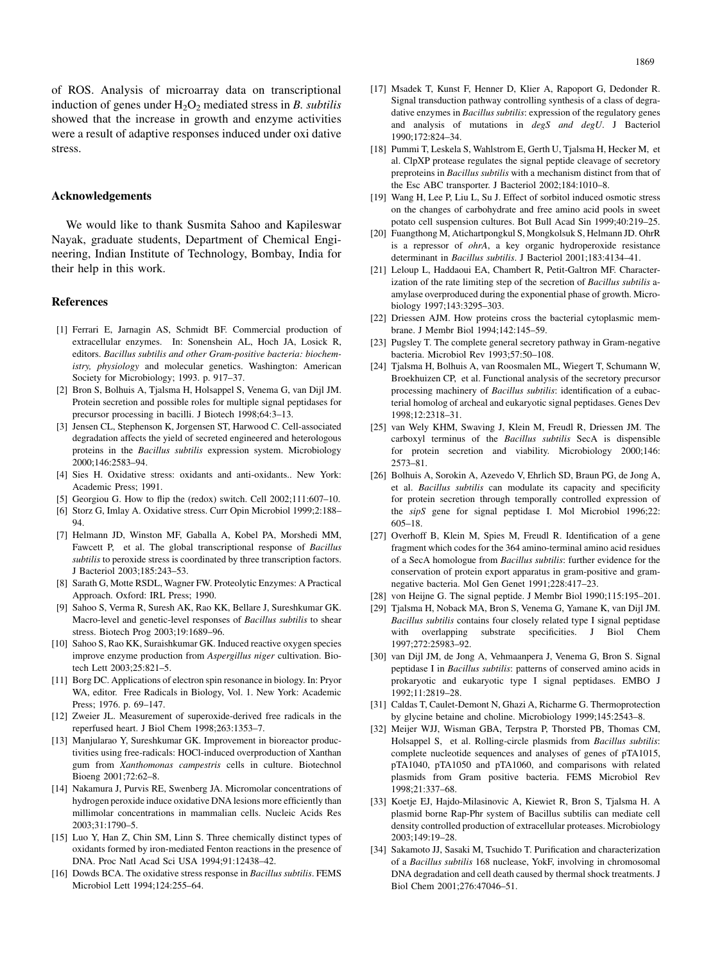<span id="page-6-0"></span>of ROS. Analysis of microarray data on transcriptional induction of genes under  $H_2O_2$  mediated stress in B. subtilis showed that the increase in growth and enzyme activities were a result of adaptive responses induced under oxi dative stress.

## Acknowledgements

We would like to thank Susmita Sahoo and Kapileswar Nayak, graduate students, Department of Chemical Engineering, Indian Institute of Technology, Bombay, India for their help in this work.

#### References

- [1] Ferrari E, Jarnagin AS, Schmidt BF. Commercial production of extracellular enzymes. In: Sonenshein AL, Hoch JA, Losick R, editors. Bacillus subtilis and other Gram-positive bacteria: biochemistry, physiology and molecular genetics. Washington: American Society for Microbiology; 1993. p. 917–37.
- [2] Bron S, Bolhuis A, Tjalsma H, Holsappel S, Venema G, van Dijl JM. Protein secretion and possible roles for multiple signal peptidases for precursor processing in bacilli. J Biotech 1998;64:3–13.
- [3] Jensen CL, Stephenson K, Jorgensen ST, Harwood C. Cell-associated degradation affects the yield of secreted engineered and heterologous proteins in the Bacillus subtilis expression system. Microbiology 2000;146:2583–94.
- [4] Sies H. Oxidative stress: oxidants and anti-oxidants.. New York: Academic Press; 1991.
- [5] Georgiou G. How to flip the (redox) switch. Cell 2002;111:607-10.
- [6] Storz G, Imlay A. Oxidative stress. Curr Opin Microbiol 1999;2:188– 94.
- [7] Helmann JD, Winston MF, Gaballa A, Kobel PA, Morshedi MM, Fawcett P, et al. The global transcriptional response of Bacillus subtilis to peroxide stress is coordinated by three transcription factors. J Bacteriol 2003;185:243–53.
- [8] Sarath G, Motte RSDL, Wagner FW. Proteolytic Enzymes: A Practical Approach. Oxford: IRL Press; 1990.
- [9] Sahoo S, Verma R, Suresh AK, Rao KK, Bellare J, Sureshkumar GK. Macro-level and genetic-level responses of Bacillus subtilis to shear stress. Biotech Prog 2003;19:1689–96.
- [10] Sahoo S, Rao KK, Suraishkumar GK. Induced reactive oxygen species improve enzyme production from Aspergillus niger cultivation. Biotech Lett 2003;25:821–5.
- [11] Borg DC. Applications of electron spin resonance in biology. In: Pryor WA, editor. Free Radicals in Biology, Vol. 1. New York: Academic Press; 1976. p. 69–147.
- [12] Zweier JL. Measurement of superoxide-derived free radicals in the reperfused heart. J Biol Chem 1998;263:1353–7.
- [13] Manjularao Y, Sureshkumar GK. Improvement in bioreactor productivities using free-radicals: HOCl-induced overproduction of Xanthan gum from Xanthomonas campestris cells in culture. Biotechnol Bioeng 2001;72:62–8.
- [14] Nakamura J, Purvis RE, Swenberg JA. Micromolar concentrations of hydrogen peroxide induce oxidative DNA lesions more efficiently than millimolar concentrations in mammalian cells. Nucleic Acids Res 2003;31:1790–5.
- [15] Luo Y, Han Z, Chin SM, Linn S. Three chemically distinct types of oxidants formed by iron-mediated Fenton reactions in the presence of DNA. Proc Natl Acad Sci USA 1994;91:12438–42.
- [16] Dowds BCA. The oxidative stress response in *Bacillus subtilis*. FEMS Microbiol Lett 1994;124:255–64.
- [17] Msadek T, Kunst F, Henner D, Klier A, Rapoport G, Dedonder R. Signal transduction pathway controlling synthesis of a class of degradative enzymes in *Bacillus subtilis*: expression of the regulatory genes and analysis of mutations in degS and degU. J Bacteriol 1990;172:824–34.
- [18] Pummi T, Leskela S, Wahlstrom E, Gerth U, Tjalsma H, Hecker M, et al. ClpXP protease regulates the signal peptide cleavage of secretory preproteins in Bacillus subtilis with a mechanism distinct from that of the Esc ABC transporter. J Bacteriol 2002;184:1010–8.
- [19] Wang H, Lee P, Liu L, Su J. Effect of sorbitol induced osmotic stress on the changes of carbohydrate and free amino acid pools in sweet potato cell suspension cultures. Bot Bull Acad Sin 1999;40:219–25.
- [20] Fuangthong M, Atichartpongkul S, Mongkolsuk S, Helmann JD. OhrR is a repressor of ohrA, a key organic hydroperoxide resistance determinant in Bacillus subtilis. J Bacteriol 2001;183:4134–41.
- [21] Leloup L, Haddaoui EA, Chambert R, Petit-Galtron MF, Characterization of the rate limiting step of the secretion of Bacillus subtilis aamylase overproduced during the exponential phase of growth. Microbiology 1997;143:3295–303.
- [22] Driessen AJM. How proteins cross the bacterial cytoplasmic membrane. J Membr Biol 1994;142:145–59.
- [23] Pugsley T. The complete general secretory pathway in Gram-negative bacteria. Microbiol Rev 1993;57:50–108.
- [24] Tjalsma H, Bolhuis A, van Roosmalen ML, Wiegert T, Schumann W, Broekhuizen CP, et al. Functional analysis of the secretory precursor processing machinery of Bacillus subtilis: identification of a eubacterial homolog of archeal and eukaryotic signal peptidases. Genes Dev 1998;12:2318–31.
- [25] van Wely KHM, Swaving J, Klein M, Freudl R, Driessen JM. The carboxyl terminus of the Bacillus subtilis SecA is dispensible for protein secretion and viability. Microbiology 2000;146: 2573–81.
- [26] Bolhuis A, Sorokin A, Azevedo V, Ehrlich SD, Braun PG, de Jong A, et al. Bacillus subtilis can modulate its capacity and specificity for protein secretion through temporally controlled expression of the sipS gene for signal peptidase I. Mol Microbiol 1996;22: 605–18.
- [27] Overhoff B, Klein M, Spies M, Freudl R. Identification of a gene fragment which codes for the 364 amino-terminal amino acid residues of a SecA homologue from Bacillus subtilis: further evidence for the conservation of protein export apparatus in gram-positive and gramnegative bacteria. Mol Gen Genet 1991;228:417–23.
- [28] von Heijne G. The signal peptide. J Membr Biol 1990;115:195–201.
- [29] Tjalsma H, Noback MA, Bron S, Venema G, Yamane K, van Dijl JM. Bacillus subtilis contains four closely related type I signal peptidase with overlapping substrate specificities. J Biol Chem 1997;272:25983–92.
- [30] van Dijl JM, de Jong A, Vehmaanpera J, Venema G, Bron S. Signal peptidase I in Bacillus subtilis: patterns of conserved amino acids in prokaryotic and eukaryotic type I signal peptidases. EMBO J 1992;11:2819–28.
- [31] Caldas T, Caulet-Demont N, Ghazi A, Richarme G. Thermoprotection by glycine betaine and choline. Microbiology 1999;145:2543–8.
- [32] Meijer WJJ, Wisman GBA, Terpstra P, Thorsted PB, Thomas CM, Holsappel S, et al. Rolling-circle plasmids from Bacillus subtilis: complete nucleotide sequences and analyses of genes of pTA1015, pTA1040, pTA1050 and pTA1060, and comparisons with related plasmids from Gram positive bacteria. FEMS Microbiol Rev 1998;21:337–68.
- [33] Koetje EJ, Hajdo-Milasinovic A, Kiewiet R, Bron S, Tjalsma H. A plasmid borne Rap-Phr system of Bacillus subtilis can mediate cell density controlled production of extracellular proteases. Microbiology 2003;149:19–28.
- [34] Sakamoto JJ, Sasaki M, Tsuchido T. Purification and characterization of a Bacillus subtilis 168 nuclease, YokF, involving in chromosomal DNA degradation and cell death caused by thermal shock treatments. J Biol Chem 2001;276:47046–51.